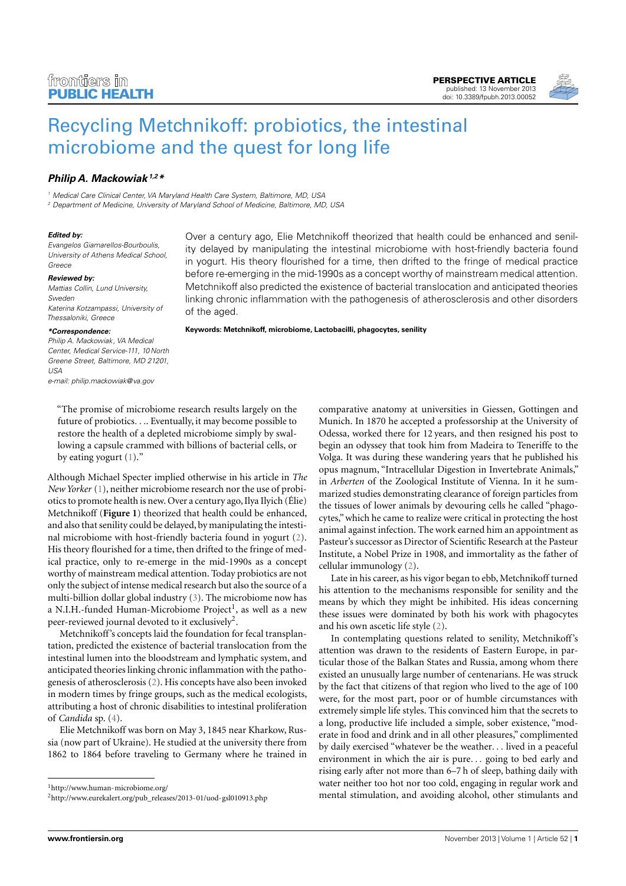

# [Recycling Metchnikoff: probiotics, the intestinal](http://www.frontiersin.org/Journal/10.3389/fpubh.2013.00052/abstract) [microbiome and the quest for long life](http://www.frontiersin.org/Journal/10.3389/fpubh.2013.00052/abstract)

# **[Philip A. Mackowiak](http://www.frontiersin.org/Community/WhosWhoActivity.aspx?sname=PhilipMackowiak&UID=72318) 1,2\***

<sup>1</sup> Medical Care Clinical Center, VA Maryland Health Care System, Baltimore, MD, USA

<sup>2</sup> Department of Medicine, University of Maryland School of Medicine, Baltimore, MD, USA

## **Edited by:**

Evangelos Giamarellos-Bourboulis, University of Athens Medical School, Greece

#### **Reviewed by:**

Mattias Collin, Lund University, Sweden Katerina Kotzampassi, University of Thessaloniki, Greece

#### **\*Correspondence:**

Philip A. Mackowiak, VA Medical Center, Medical Service-111, 10 North Greene Street, Baltimore, MD 21201,  $11S\Delta$ 

e-mail: [philip.mackowiak@va.gov](mailto:philip.mackowiak@va.gov)

"The promise of microbiome research results largely on the future of probiotics. . .. Eventually, it may become possible to restore the health of a depleted microbiome simply by swallowing a capsule crammed with billions of bacterial cells, or by eating yogurt [\(1\)](#page-2-0)."

Although Michael Specter implied otherwise in his article in *The New Yorker* [\(1\)](#page-2-0), neither microbiome research nor the use of probiotics to promote health is new. Over a century ago, Ilya Ilyich (Élie) Metchnikoff (**[Figure 1](#page-1-0)**) theorized that health could be enhanced, and also that senility could be delayed, by manipulating the intestinal microbiome with host-friendly bacteria found in yogurt [\(2\)](#page-2-1). His theory flourished for a time, then drifted to the fringe of medical practice, only to re-emerge in the mid-1990s as a concept worthy of mainstream medical attention. Today probiotics are not only the subject of intense medical research but also the source of a multi-billion dollar global industry [\(3\)](#page-2-2). The microbiome now has a N.I.H.-funded Human-Microbiome Project<sup>[1](#page-0-0)</sup>, as well as a new peer-reviewed journal devoted to it exclusively<sup>[2](#page-0-1)</sup>.

Metchnikoff's concepts laid the foundation for fecal transplantation, predicted the existence of bacterial translocation from the intestinal lumen into the bloodstream and lymphatic system, and anticipated theories linking chronic inflammation with the pathogenesis of atherosclerosis [\(2\)](#page-2-1). His concepts have also been invoked in modern times by fringe groups, such as the medical ecologists, attributing a host of chronic disabilities to intestinal proliferation of *Candida* sp. [\(4\)](#page-2-3).

Elie Metchnikoff was born on May 3, 1845 near Kharkow, Russia (now part of Ukraine). He studied at the university there from 1862 to 1864 before traveling to Germany where he trained in

<span id="page-0-0"></span><sup>1</sup><http://www.human-microbiome.org/>

Over a century ago, Elie Metchnikoff theorized that health could be enhanced and senility delayed by manipulating the intestinal microbiome with host-friendly bacteria found in yogurt. His theory flourished for a time, then drifted to the fringe of medical practice before re-emerging in the mid-1990s as a concept worthy of mainstream medical attention. Metchnikoff also predicted the existence of bacterial translocation and anticipated theories linking chronic inflammation with the pathogenesis of atherosclerosis and other disorders of the aged.

**Keywords: Metchnikoff, microbiome, Lactobacilli, phagocytes, senility**

comparative anatomy at universities in Giessen, Gottingen and Munich. In 1870 he accepted a professorship at the University of Odessa, worked there for 12 years, and then resigned his post to begin an odyssey that took him from Madeira to Teneriffe to the Volga. It was during these wandering years that he published his opus magnum, "Intracellular Digestion in Invertebrate Animals," in *Arberten* of the Zoological Institute of Vienna. In it he summarized studies demonstrating clearance of foreign particles from the tissues of lower animals by devouring cells he called "phagocytes," which he came to realize were critical in protecting the host animal against infection. The work earned him an appointment as Pasteur's successor as Director of Scientific Research at the Pasteur Institute, a Nobel Prize in 1908, and immortality as the father of cellular immunology [\(2\)](#page-2-1).

Late in his career, as his vigor began to ebb, Metchnikoff turned his attention to the mechanisms responsible for senility and the means by which they might be inhibited. His ideas concerning these issues were dominated by both his work with phagocytes and his own ascetic life style [\(2\)](#page-2-1).

In contemplating questions related to senility, Metchnikoff's attention was drawn to the residents of Eastern Europe, in particular those of the Balkan States and Russia, among whom there existed an unusually large number of centenarians. He was struck by the fact that citizens of that region who lived to the age of 100 were, for the most part, poor or of humble circumstances with extremely simple life styles. This convinced him that the secrets to a long, productive life included a simple, sober existence, "moderate in food and drink and in all other pleasures," complimented by daily exercised "whatever be the weather. . . lived in a peaceful environment in which the air is pure. . . going to bed early and rising early after not more than 6–7 h of sleep, bathing daily with water neither too hot nor too cold, engaging in regular work and mental stimulation, and avoiding alcohol, other stimulants and

<span id="page-0-1"></span><sup>2</sup>[http://www.eurekalert.org/pub\\_releases/2013-01/uod-gsl010913.php](http://www.eurekalert.org/pub_releases/2013-01/uod-gsl010913.php)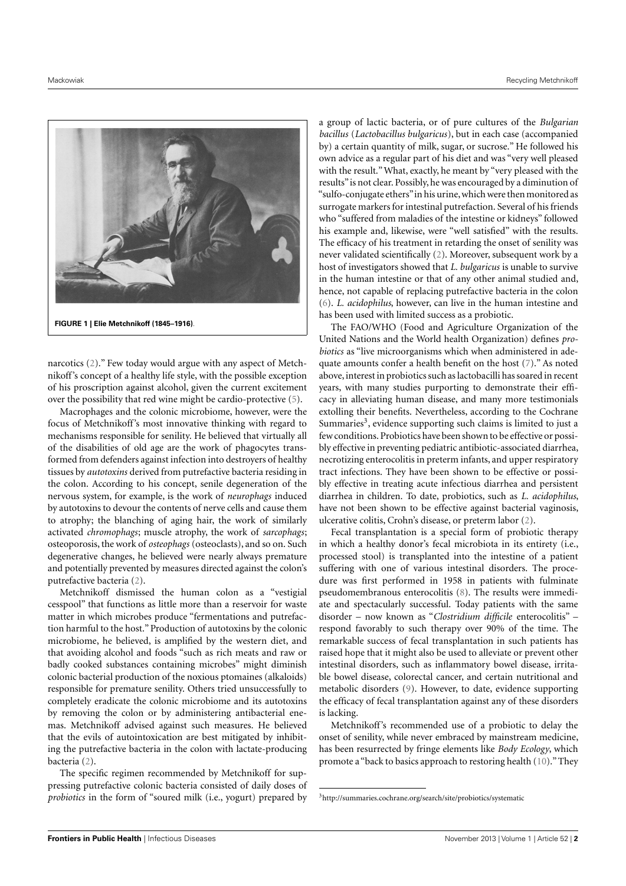

<span id="page-1-0"></span>narcotics [\(2\)](#page-2-1)." Few today would argue with any aspect of Metchnikoff's concept of a healthy life style, with the possible exception of his proscription against alcohol, given the current excitement over the possibility that red wine might be cardio-protective [\(5\)](#page-2-4).

Macrophages and the colonic microbiome, however, were the focus of Metchnikoff's most innovative thinking with regard to mechanisms responsible for senility. He believed that virtually all of the disabilities of old age are the work of phagocytes transformed from defenders against infection into destroyers of healthy tissues by *autotoxins* derived from putrefactive bacteria residing in the colon. According to his concept, senile degeneration of the nervous system, for example, is the work of *neurophags* induced by autotoxins to devour the contents of nerve cells and cause them to atrophy; the blanching of aging hair, the work of similarly activated *chromophags*; muscle atrophy, the work of *sarcophags*; osteoporosis, the work of *osteophags* (osteoclasts), and so on. Such degenerative changes, he believed were nearly always premature and potentially prevented by measures directed against the colon's putrefactive bacteria [\(2\)](#page-2-1).

Metchnikoff dismissed the human colon as a "vestigial cesspool" that functions as little more than a reservoir for waste matter in which microbes produce "fermentations and putrefaction harmful to the host." Production of autotoxins by the colonic microbiome, he believed, is amplified by the western diet, and that avoiding alcohol and foods "such as rich meats and raw or badly cooked substances containing microbes" might diminish colonic bacterial production of the noxious ptomaines (alkaloids) responsible for premature senility. Others tried unsuccessfully to completely eradicate the colonic microbiome and its autotoxins by removing the colon or by administering antibacterial enemas. Metchnikoff advised against such measures. He believed that the evils of autointoxication are best mitigated by inhibiting the putrefactive bacteria in the colon with lactate-producing bacteria [\(2\)](#page-2-1).

The specific regimen recommended by Metchnikoff for suppressing putrefactive colonic bacteria consisted of daily doses of *probiotics* in the form of "soured milk (i.e., yogurt) prepared by

a group of lactic bacteria, or of pure cultures of the *Bulgarian bacillus* (*Lactobacillus bulgaricus*), but in each case (accompanied by) a certain quantity of milk, sugar, or sucrose." He followed his own advice as a regular part of his diet and was "very well pleased with the result." What, exactly, he meant by "very pleased with the results"is not clear. Possibly, he was encouraged by a diminution of "sulfo-conjugate ethers"in his urine,which were then monitored as surrogate markers for intestinal putrefaction. Several of his friends who "suffered from maladies of the intestine or kidneys" followed his example and, likewise, were "well satisfied" with the results. The efficacy of his treatment in retarding the onset of senility was never validated scientifically [\(2\)](#page-2-1). Moreover, subsequent work by a host of investigators showed that *L. bulgaricus* is unable to survive in the human intestine or that of any other animal studied and, hence, not capable of replacing putrefactive bacteria in the colon [\(6\)](#page-2-5). *L. acidophilus*, however, can live in the human intestine and has been used with limited success as a probiotic.

The FAO/WHO (Food and Agriculture Organization of the United Nations and the World health Organization) defines *probiotics* as "live microorganisms which when administered in adequate amounts confer a health benefit on the host [\(7\)](#page-2-6)." As noted above, interest in probiotics such as lactobacilli has soared in recent years, with many studies purporting to demonstrate their efficacy in alleviating human disease, and many more testimonials extolling their benefits. Nevertheless, according to the Cochrane Summaries<sup>[3](#page-1-1)</sup>, evidence supporting such claims is limited to just a few conditions. Probiotics have been shown to be effective or possibly effective in preventing pediatric antibiotic-associated diarrhea, necrotizing enterocolitis in preterm infants, and upper respiratory tract infections. They have been shown to be effective or possibly effective in treating acute infectious diarrhea and persistent diarrhea in children. To date, probiotics, such as *L. acidophilus*, have not been shown to be effective against bacterial vaginosis, ulcerative colitis, Crohn's disease, or preterm labor [\(2\)](#page-2-1).

Fecal transplantation is a special form of probiotic therapy in which a healthy donor's fecal microbiota in its entirety (i.e., processed stool) is transplanted into the intestine of a patient suffering with one of various intestinal disorders. The procedure was first performed in 1958 in patients with fulminate pseudomembranous enterocolitis [\(8\)](#page-2-7). The results were immediate and spectacularly successful. Today patients with the same disorder – now known as "*Clostridium difficile* enterocolitis" – respond favorably to such therapy over 90% of the time. The remarkable success of fecal transplantation in such patients has raised hope that it might also be used to alleviate or prevent other intestinal disorders, such as inflammatory bowel disease, irritable bowel disease, colorectal cancer, and certain nutritional and metabolic disorders [\(9\)](#page-2-8). However, to date, evidence supporting the efficacy of fecal transplantation against any of these disorders is lacking.

Metchnikoff's recommended use of a probiotic to delay the onset of senility, while never embraced by mainstream medicine, has been resurrected by fringe elements like *Body Ecology*, which promote a "back to basics approach to restoring health [\(10\)](#page-2-9)." They

<span id="page-1-1"></span><sup>3</sup><http://summaries.cochrane.org/search/site/probiotics/systematic>